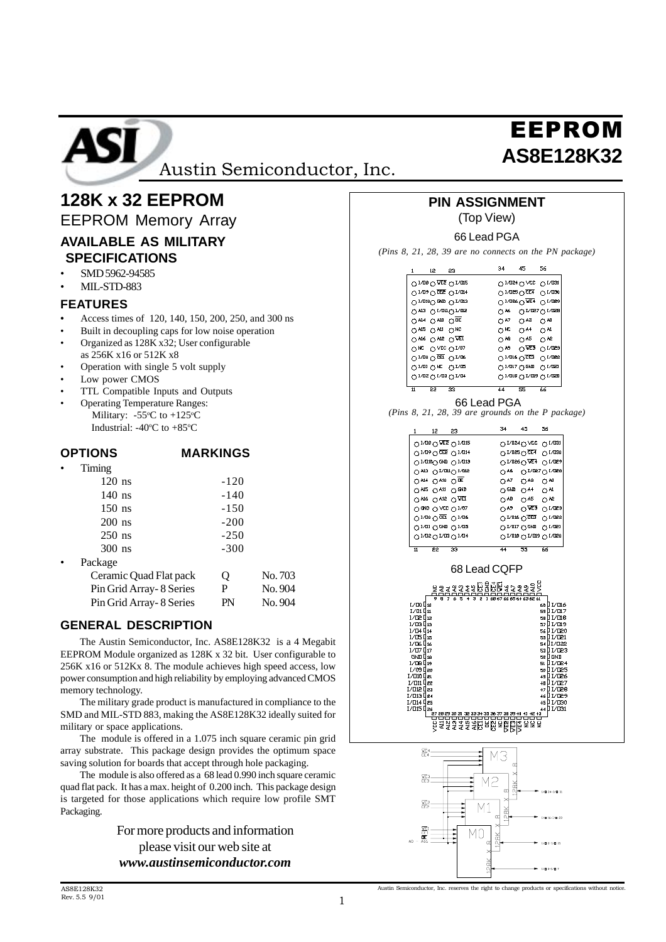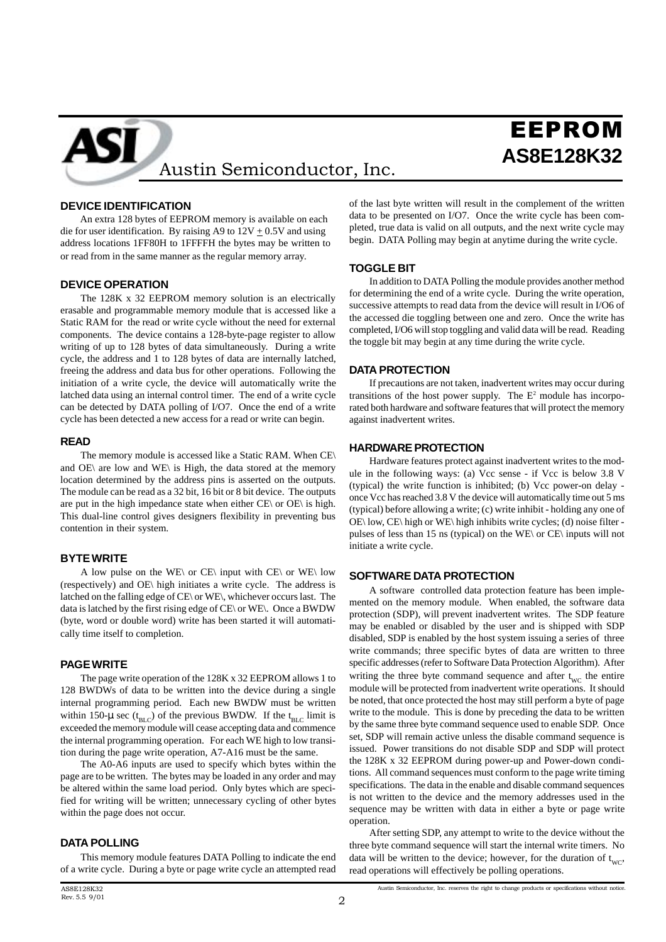# EEPROM **AS8E128K32** Austin Semiconductor, Inc.

## **DEVICE IDENTIFICATION**

 An extra 128 bytes of EEPROM memory is available on each die for user identification. By raising A9 to  $12V + 0.5V$  and using address locations 1FF80H to 1FFFFH the bytes may be written to or read from in the same manner as the regular memory array.

#### **DEVICE OPERATION**

ASI

The 128K x 32 EEPROM memory solution is an electrically erasable and programmable memory module that is accessed like a Static RAM for the read or write cycle without the need for external components. The device contains a 128-byte-page register to allow writing of up to 128 bytes of data simultaneously. During a write cycle, the address and 1 to 128 bytes of data are internally latched, freeing the address and data bus for other operations. Following the initiation of a write cycle, the device will automatically write the latched data using an internal control timer. The end of a write cycle can be detected by DATA polling of I/O7. Once the end of a write cycle has been detected a new access for a read or write can begin.

#### **READ**

The memory module is accessed like a Static RAM. When CE\ and  $OE$  are low and  $WE$  is High, the data stored at the memory location determined by the address pins is asserted on the outputs. The module can be read as a 32 bit, 16 bit or 8 bit device. The outputs are put in the high impedance state when either  $CE\$  or  $OE\$  is high. This dual-line control gives designers flexibility in preventing bus contention in their system.

#### **BYTE WRITE**

A low pulse on the WE\ or CE\ input with CE\ or WE\ low (respectively) and OE\ high initiates a write cycle. The address is latched on the falling edge of CE\ or WE\, whichever occurs last. The data is latched by the first rising edge of CE\ or WE\. Once a BWDW (byte, word or double word) write has been started it will automatically time itself to completion.

#### **PAGE WRITE**

The page write operation of the 128K x 32 EEPROM allows 1 to 128 BWDWs of data to be written into the device during a single internal programming period. Each new BWDW must be written within 150- $\mu$  sec (t<sub>BLC</sub>) of the previous BWDW. If the t<sub>BLC</sub> limit is exceeded the memory module will cease accepting data and commence the internal programming operation. For each WE high to low transition during the page write operation, A7-A16 must be the same.

The A0-A6 inputs are used to specify which bytes within the page are to be written. The bytes may be loaded in any order and may be altered within the same load period. Only bytes which are specified for writing will be written; unnecessary cycling of other bytes within the page does not occur.

#### **DATA POLLING**

This memory module features DATA Polling to indicate the end of a write cycle. During a byte or page write cycle an attempted read of the last byte written will result in the complement of the written data to be presented on I/O7. Once the write cycle has been completed, true data is valid on all outputs, and the next write cycle may begin. DATA Polling may begin at anytime during the write cycle.

#### **TOGGLE BIT**

In addition to DATA Polling the module provides another method for determining the end of a write cycle. During the write operation, successive attempts to read data from the device will result in I/O6 of the accessed die toggling between one and zero. Once the write has completed, I/O6 will stop toggling and valid data will be read. Reading the toggle bit may begin at any time during the write cycle.

#### **DATA PROTECTION**

If precautions are not taken, inadvertent writes may occur during transitions of the host power supply. The  $E<sup>2</sup>$  module has incorporated both hardware and software features that will protect the memory against inadvertent writes.

#### **HARDWARE PROTECTION**

Hardware features protect against inadvertent writes to the module in the following ways: (a) Vcc sense - if Vcc is below 3.8 V (typical) the write function is inhibited; (b) Vcc power-on delay once Vcc has reached 3.8 V the device will automatically time out 5 ms (typical) before allowing a write; (c) write inhibit - holding any one of OE\ low, CE\ high or WE\ high inhibits write cycles; (d) noise filter pulses of less than 15 ns (typical) on the WE\ or CE\ inputs will not initiate a write cycle.

#### **SOFTWARE DATA PROTECTION**

A software controlled data protection feature has been implemented on the memory module. When enabled, the software data protection (SDP), will prevent inadvertent writes. The SDP feature may be enabled or disabled by the user and is shipped with SDP disabled, SDP is enabled by the host system issuing a series of three write commands; three specific bytes of data are written to three specific addresses (refer to Software Data Protection Algorithm). After writing the three byte command sequence and after  $t_{wc}$  the entire module will be protected from inadvertent write operations. It should be noted, that once protected the host may still perform a byte of page write to the module. This is done by preceding the data to be written by the same three byte command sequence used to enable SDP. Once set, SDP will remain active unless the disable command sequence is issued. Power transitions do not disable SDP and SDP will protect the 128K x 32 EEPROM during power-up and Power-down conditions. All command sequences must conform to the page write timing specifications. The data in the enable and disable command sequences is not written to the device and the memory addresses used in the sequence may be written with data in either a byte or page write operation.

After setting SDP, any attempt to write to the device without the three byte command sequence will start the internal write timers. No data will be written to the device; however, for the duration of  $t_{\rm wcc}$ , read operations will effectively be polling operations.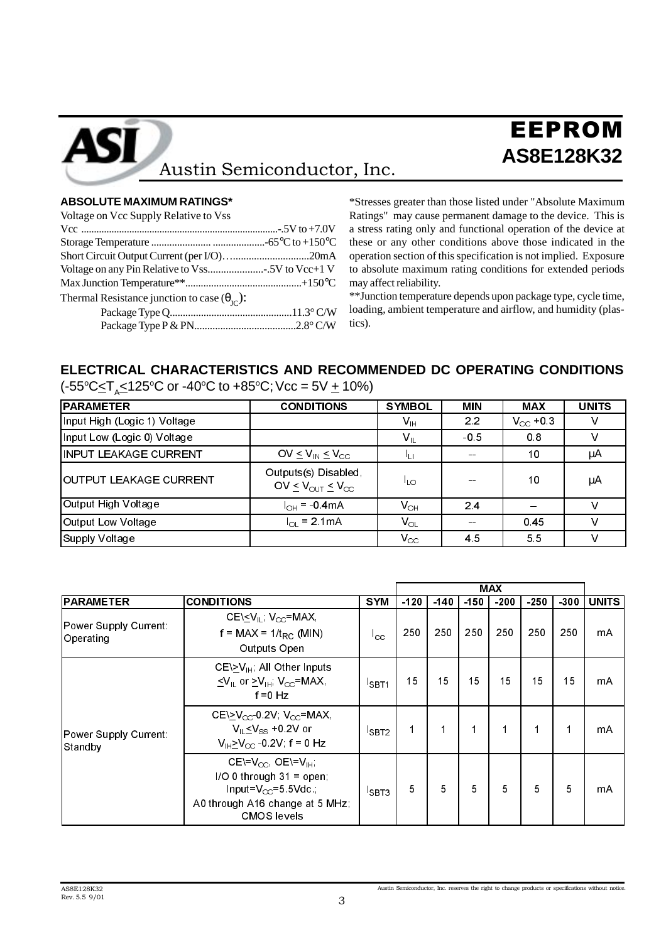# EEPROM **AS8E128K32** Austin Semiconductor, Inc.

## **ABSOLUTE MAXIMUM RATINGS\***

Voltage on Vcc Supply Relative to Vss

ASI

| $\frac{1}{2}$                                                |  |
|--------------------------------------------------------------|--|
|                                                              |  |
|                                                              |  |
|                                                              |  |
|                                                              |  |
|                                                              |  |
| Thermal Resistance junction to case $(\theta_{\text{IC}})$ : |  |
|                                                              |  |
|                                                              |  |
|                                                              |  |

\*Stresses greater than those listed under "Absolute Maximum Ratings" may cause permanent damage to the device. This is a stress rating only and functional operation of the device at these or any other conditions above those indicated in the operation section of this specification is not implied. Exposure to absolute maximum rating conditions for extended periods may affect reliability.

\*\*Junction temperature depends upon package type, cycle time, loading, ambient temperature and airflow, and humidity (plastics).

## **ELECTRICAL CHARACTERISTICS AND RECOMMENDED DC OPERATING CONDITIONS**

| (-55°C $\leq$ T <sub>A</sub> $\leq$ 125°C or -40°C to +85°C; Vcc = 5V $\pm$ 10%) |  |  |
|----------------------------------------------------------------------------------|--|--|
|----------------------------------------------------------------------------------|--|--|

| <b>PARAMETER</b>             | <b>CONDITIONS</b>                                                         | <b>SYMBOL</b>             | <b>MIN</b>    | <b>MAX</b>    | <b>UNITS</b> |
|------------------------------|---------------------------------------------------------------------------|---------------------------|---------------|---------------|--------------|
| Input High (Logic 1) Voltage |                                                                           | $\mathsf{V}_{\mathsf{H}}$ | 2.2           | $V_{CC}$ +0.3 |              |
| Input Low (Logic 0) Voltage  |                                                                           | $V_{\parallel}$           | $-0.5$        | 0.8           |              |
| INPUT LEAKAGE CURRENT        | OV $\leq$ V <sub>IN</sub> $\leq$ V <sub>CC</sub>                          | ய                         | $\sim$ $\sim$ | 10            | μA           |
| lOUTPUT LEAKAGE CURRENT      | Outputs(s) Disabled,<br>OV $\leq$ V <sub>OUT</sub> $\leq$ V <sub>CC</sub> | lLO.                      | --            | 10            | μA           |
| Output High Voltage          | $I_{OH} = -0.4 \text{mA}$                                                 | $V_{\text{OH}}$           | 24            | <b>SILLER</b> | ν            |
| Output Low Voltage           | $I_{\odot}$ = 2.1 mA                                                      | $V_{OL}$                  | $\sim$ $\sim$ | 0.45          |              |
| Supply Voltage               |                                                                           | $V_{\rm CC}$              | 4.5           | 5.5           | ν            |

|                                    |                                                                                                                                                   |                  |        |        |        | <b>MAX</b> |        |        |              |
|------------------------------------|---------------------------------------------------------------------------------------------------------------------------------------------------|------------------|--------|--------|--------|------------|--------|--------|--------------|
| <b>PARAMETER</b>                   | <b>CONDITIONS</b>                                                                                                                                 | <b>SYM</b>       | $-120$ | $-140$ | $-150$ | $-200$     | $-250$ | $-300$ | <b>UNITS</b> |
| Power Supply Current:<br>Operating | CE $\leq$ V <sub>IL</sub> , V <sub>CC</sub> =MAX,<br>$f = MAX = 1/t_{RC}$ (MIN)<br>Outputs Open                                                   | <sup>I</sup> cc  | 250    | 250    | 250    | 250        | 250    | 250    | mA           |
|                                    | $CE \geq V_{\text{IH}}$ ; All Other Inputs<br>$\leq$ V <sub>II</sub> or $\geq$ V <sub>IH</sub> ; V <sub>CC</sub> =MAX,<br>f = 0 Hz                | SBT <sub>1</sub> | 15     | 15     | 15     | 15         | 15     | 15     | mA           |
| Power Supply Current:<br>Standby   | CE $\succeq$ V <sub>cc</sub> 0 2V, V <sub>cc</sub> =MAX,<br>$V_{\parallel} \leq V_{SS}$ +0.2V or<br>$V_{H} > V_{CC}$ -0.2V; f = 0 Hz              | SBT2             | 1      | 1      | 1      |            |        |        | mA           |
|                                    | CE\= $V_{CC}$ , OE\= $V_{H}$ ;<br>$1/O$ 0 through 31 = open;<br>Input= $V_{CC}$ =5.5Vdc;<br>A0 through A16 change at 5 MHz;<br><b>CMOS</b> levels | SBT3             | 5      | 5      | 5      | 5          | 5      | 5      | mA           |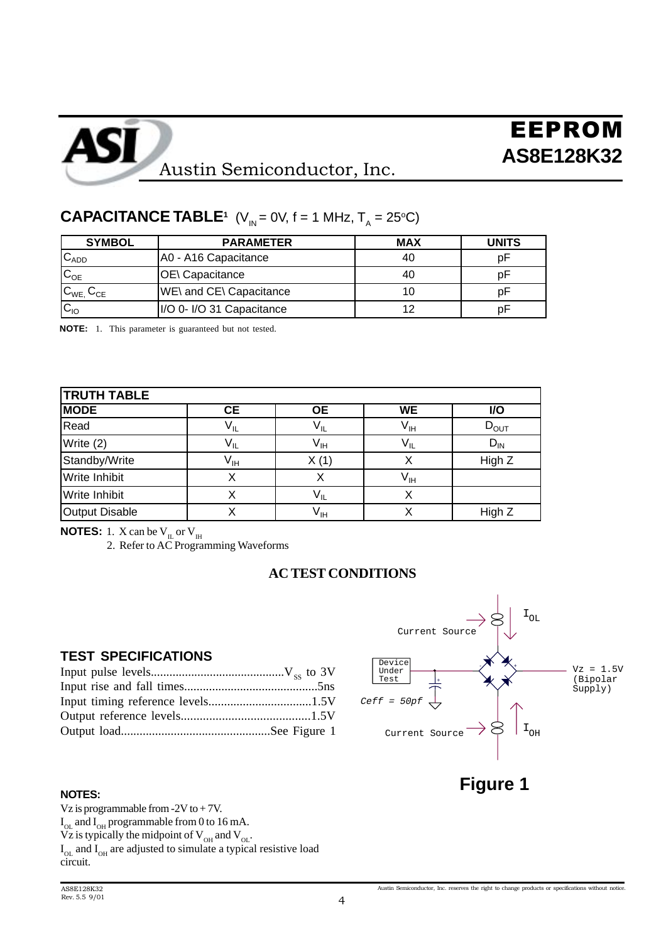| <b>SYMBOL</b>            | <b>PARAMETER</b>          | <b>MAX</b> | <b>UNITS</b> |
|--------------------------|---------------------------|------------|--------------|
| $C_{ADD}$                | A0 - A16 Capacitance      | 40         | рF           |
| $\mathbf{C}_{\text{OE}}$ | <b>OE</b> \ Capacitance   | 40         | D۲           |
| $C_{WE}$ , $C_{CE}$      | WE\ and CE\ Capacitance   |            | D۲           |
| $C_{10}$                 | I/O 0- I/O 31 Capacitance | 12         |              |
|                          |                           |            |              |

## **CAPACITANCE TABLE<sup>1</sup>** (V<sub>IN</sub> = 0V, f = 1 MHz, T<sub>A</sub> = 25<sup>o</sup>C)

**NOTE:** 1. This parameter is guaranteed but not tested.

| <b>TRUTH TABLE</b>   |                 |                            |                            |            |
|----------------------|-----------------|----------------------------|----------------------------|------------|
| <b>MODE</b>          | <b>CE</b>       | <b>OE</b>                  | <b>WE</b>                  | <b>I/O</b> |
| Read                 | $V_{IL}$        | $V_{IL}$                   | $\mathsf{V}_{\mathsf{IH}}$ | $D_{OUT}$  |
| Write (2)            | V <sub>IL</sub> | V <sub>IH</sub>            | $V_{IL}$                   | $D_{IN}$   |
| Standby/Write        | V <sub>IH</sub> | X(1)                       |                            | High Z     |
| Write Inhibit        | Х               | х                          | $\mathsf{V}_{\mathsf{IH}}$ |            |
| <b>Write Inhibit</b> |                 | $V_{IL}$                   | х                          |            |
| Output Disable       | Х               | $\mathsf{V}_{\mathsf{IH}}$ | х                          | High Z     |

**NOTES:** 1. X can be  $V_{\text{IL}}$  or  $V_{\text{IH}}$ 

2. Refer to AC Programming Waveforms

### **AC TEST CONDITIONS**

## **TEST SPECIFICATIONS**

|  | Under<br>Test            |                                                                 |
|--|--------------------------|-----------------------------------------------------------------|
|  |                          |                                                                 |
|  | $Ceff = 50pf \leftarrow$ |                                                                 |
|  |                          |                                                                 |
|  |                          | $\vert$ i $_{\rm OH}$<br>Current Source $\rightarrow$ $\approx$ |



#### **NOTES:**

Vz is programmable from  $-2V$  to  $+ 7V$ .  $I_{OL}$  and  $I_{OH}$  programmable from 0 to 16 mA. Vz is typically the midpoint of  $V_{\text{OH}}$  and  $V_{\text{OL}}$ .

 $I_{OL}$  and  $I_{OH}$  are adjusted to simulate a typical resistive load circuit.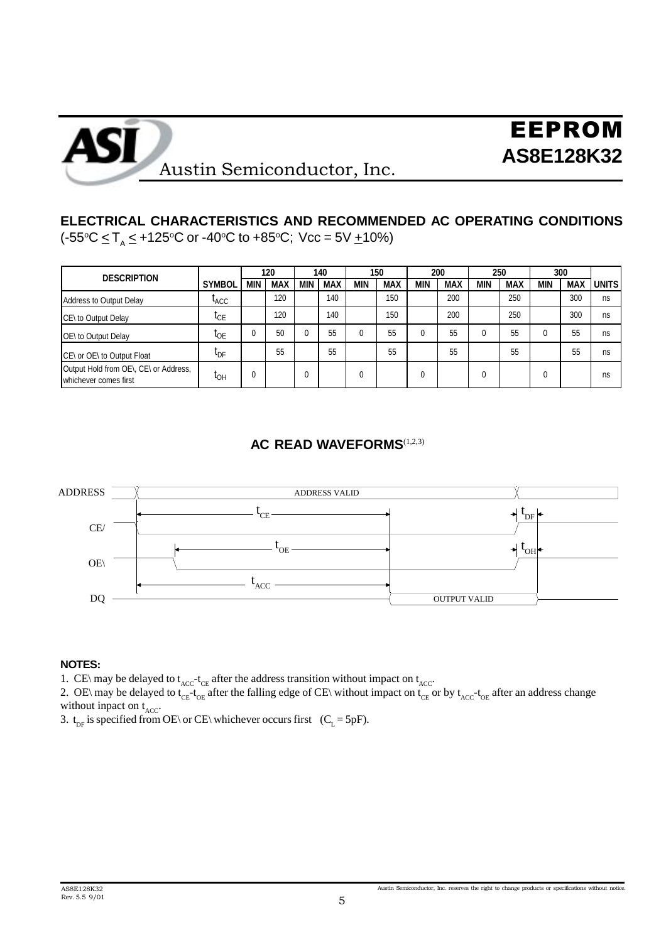

## **ELECTRICAL CHARACTERISTICS AND RECOMMENDED AC OPERATING CONDITIONS** (-55°C <u><</u> T<sub>A</sub> ≤ +125°C or -40°C to +85°C; Vcc = 5V <u>+</u>10%)

| <b>DESCRIPTION</b>                                             |                  |            | 120        |            | 140        |            | 150        |            | 200        |            | 250        |            | 300        |              |
|----------------------------------------------------------------|------------------|------------|------------|------------|------------|------------|------------|------------|------------|------------|------------|------------|------------|--------------|
|                                                                | <b>SYMBOL</b>    | <b>MIN</b> | <b>MAX</b> | <b>MIN</b> | <b>MAX</b> | <b>MIN</b> | <b>MAX</b> | <b>MIN</b> | <b>MAX</b> | <b>MIN</b> | <b>MAX</b> | <b>MIN</b> | <b>MAX</b> | <b>UNITS</b> |
| Address to Output Delay                                        | <sup>L</sup> ACC |            | 120        |            | 140        |            | 150        |            | 200        |            | 250        |            | 300        | ns           |
| CE\ to Output Delay                                            | $I_{CE}$         |            | 120        |            | 140        |            | 150        |            | 200        |            | 250        |            | 300        | ns           |
| OE\ to Output Delay                                            | <b>I</b> OE      |            | 50         | 0          | 55         |            | 55         | 0          | 55         | 0          | 55         | 0          | 55         | ns           |
| CE\ or OE\ to Output Float                                     | <b>L</b> DF      |            | 55         |            | 55         |            | 55         |            | 55         |            | 55         |            | 55         | ns           |
| Output Hold from OE\, CE\ or Address,<br>whichever comes first | <b>L</b> OH      | 0          |            | U          |            |            |            | 0          |            | $\Omega$   |            | 0          |            | ns           |

## **AC READ WAVEFORMS**<sup>(1,2,3)</sup>



#### **NOTES:**

1. CE\ may be delayed to  $t_{\text{ACC}}$ - $t_{\text{CE}}$  after the address transition without impact on  $t_{\text{ACC}}$ .

2. OE\ may be delayed to  $t_{CE}$ - $t_{OE}$  after the falling edge of CE\ without impact on  $t_{CE}$  or by  $t_{ACC}$ - $t_{OE}$  after an address change without inpact on  $t_{ACC}$ .

3.  $t_{DF}$  is specified from OE\ or CE\ whichever occurs first (C<sub>L</sub> = 5pF).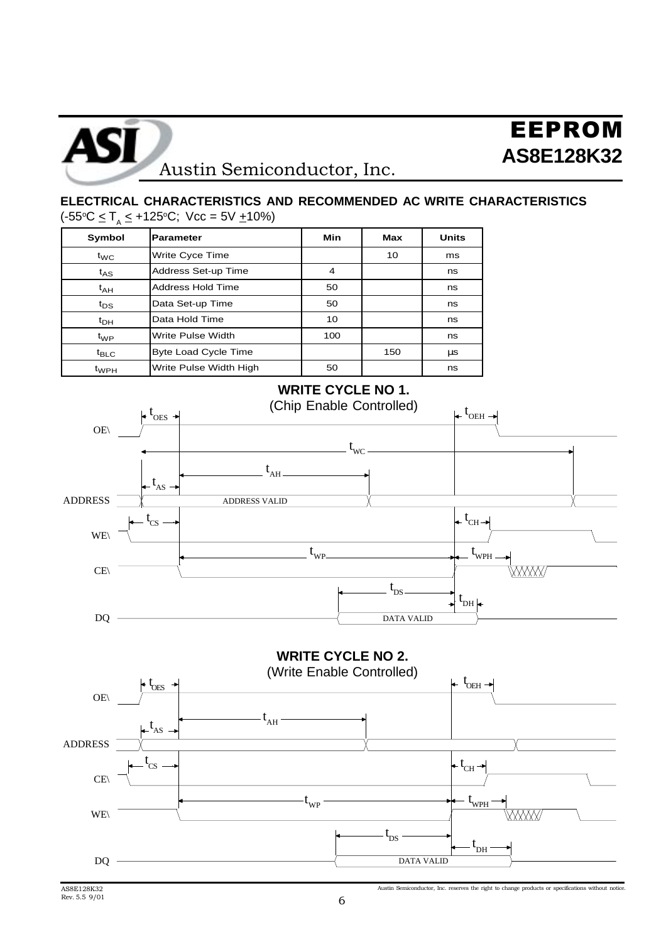

## **ELECTRICAL CHARACTERISTICS AND RECOMMENDED AC WRITE CHARACTERISTICS** (-55°C ≤ T<sub>A</sub> ≤ +125°C; Vcc = 5V <u>+</u>10%)

| Symbol           | <b>Parameter</b>            | Min | <b>Max</b> | <b>Units</b> |
|------------------|-----------------------------|-----|------------|--------------|
| $t_{\text{WC}}$  | Write Cyce Time             |     | 10         | ms           |
| $t_{AS}$         | Address Set-up Time         | 4   |            | ns           |
| $t_{AH}$         | <b>Address Hold Time</b>    | 50  |            | ns           |
| $t_{DS}$         | Data Set-up Time            | 50  |            | ns           |
| $t_{\text{DH}}$  | Data Hold Time              | 10  |            | ns           |
| $t_{WP}$         | Write Pulse Width           | 100 |            | ns           |
| $t_{\text{BLC}}$ | <b>Byte Load Cycle Time</b> |     | 150        | μs           |
| $t_{WPH}$        | Write Pulse Width High      | 50  |            | ns           |



**WRITE CYCLE NO 2.**

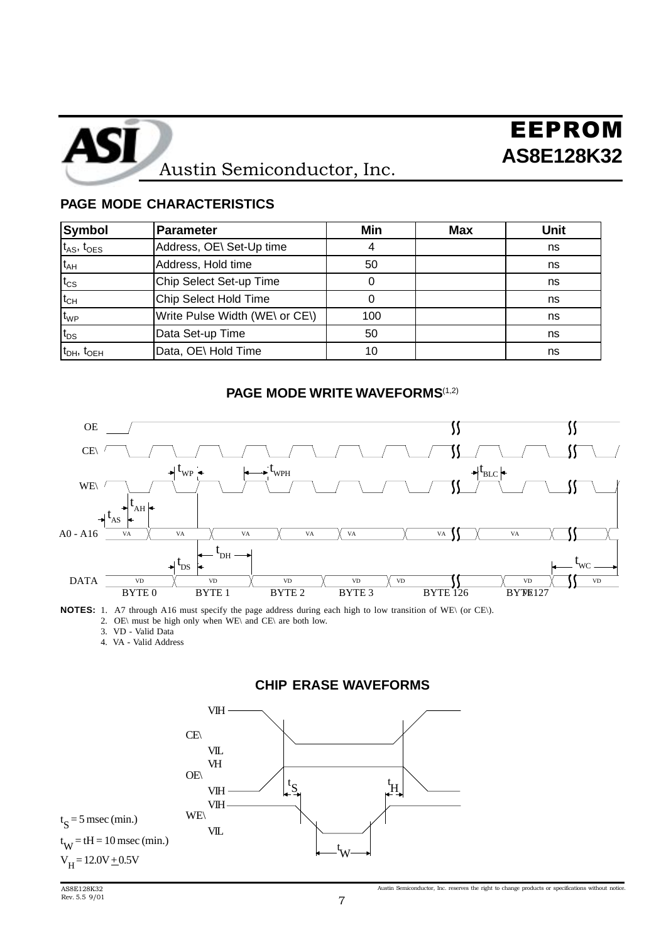![](_page_6_Picture_0.jpeg)

## **PAGE MODE CHARACTERISTICS**

| <b>Symbol</b>        | Parameter                      | Min | <b>Max</b> | <b>Unit</b> |
|----------------------|--------------------------------|-----|------------|-------------|
| $t_{AS}$ , $t_{OES}$ | Address, OE\ Set-Up time       |     |            | ns          |
| $t_{AH}$             | Address, Hold time             | 50  |            | ns          |
| $t_{\text{CS}}$      | Chip Select Set-up Time        |     |            | ns          |
| $t_{CH}$             | Chip Select Hold Time          |     |            | ns          |
| $t_{WP}$             | Write Pulse Width (WE\ or CE\) | 100 |            | ns          |
| $t_{DS}$             | Data Set-up Time               | 50  |            | ns          |
| $t_{DH}$ , $t_{OEH}$ | Data, OE\ Hold Time            | 10  |            | ns          |

### **PAGE MODE WRITE WAVEFORMS**<sup>(1,2)</sup>

![](_page_6_Figure_5.jpeg)

**NOTES:** 1. A7 through A16 must specify the page address during each high to low transition of WE\ (or CE\). 2. OE\ must be high only when WE\ and CE\ are both low.

- 3. VD Valid Data
- 4. VA Valid Address

### **CHIP ERASE WAVEFORMS**

![](_page_6_Figure_10.jpeg)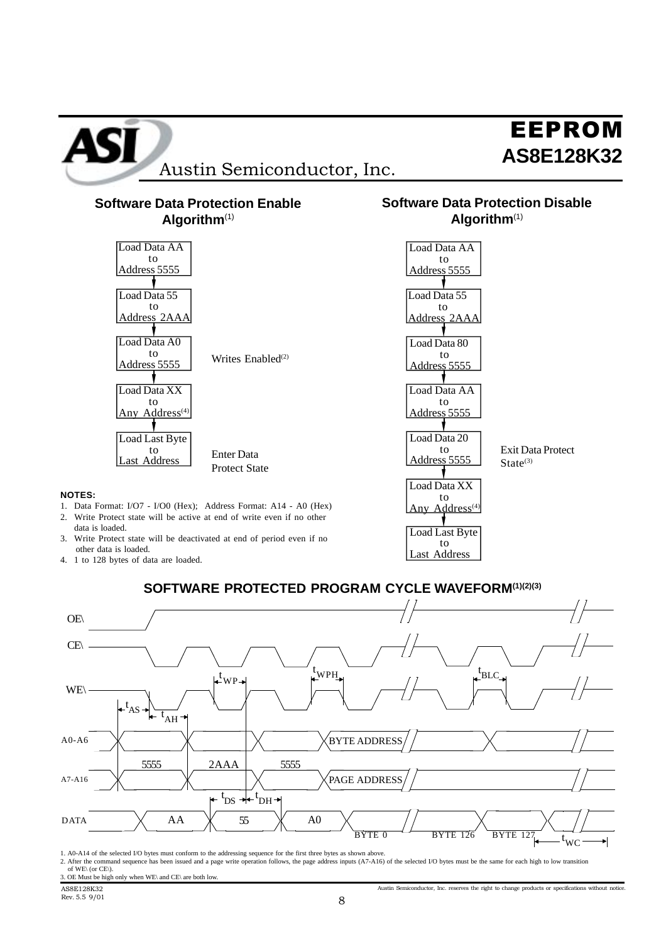![](_page_7_Figure_0.jpeg)

- 3. Write Protect state will be deactivated at end of period even if no other data is loaded.
- 4. 1 to 128 bytes of data are loaded.

![](_page_7_Figure_3.jpeg)

Last Address

![](_page_7_Figure_4.jpeg)

1. A0-A14 of the selected I/O bytes must conform to the addressing sequence for the first three bytes as shown above.

2. After the command sequence has been issued and a page write operation follows, the page address inputs (A7-A16) of the selected I/O bytes must be the same for each high to low transition of WE\ (or CE\) 3. OE Must be high only when WE\ and CE\ are both low.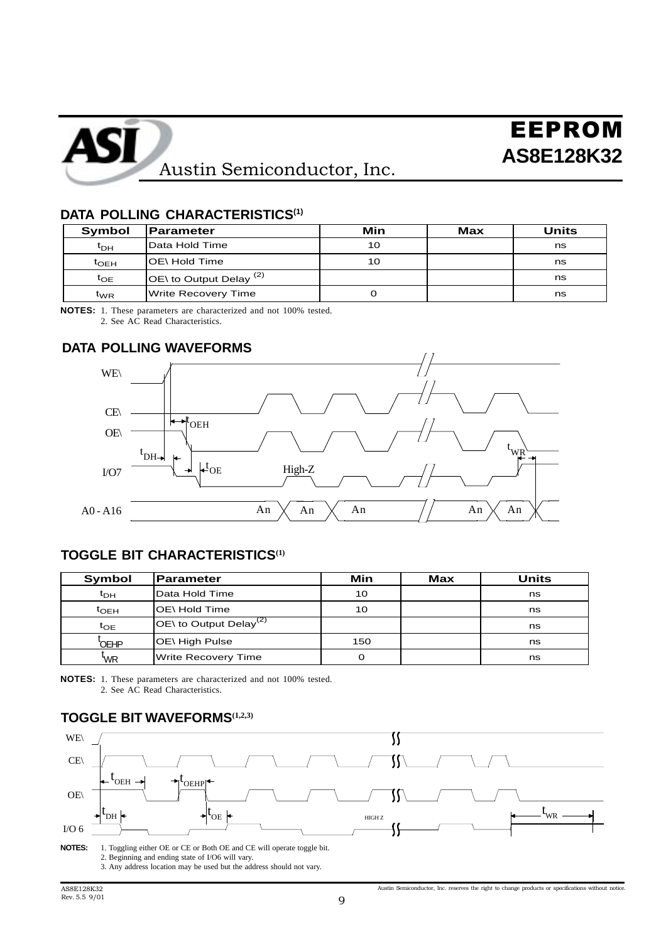![](_page_8_Picture_0.jpeg)

#### **DATA POLLING CHARACTERISTICS(1)**

| Symbol          | <b>Parameter</b>                     | Min | Max | Units |
|-----------------|--------------------------------------|-----|-----|-------|
| $t_{\text{DH}}$ | Data Hold Time                       | 10  |     | ns    |
| $t_{\sf OEH}$   | OE\ Hold Time                        | 10  |     | ns    |
| $t_{OE}$        | $\overline{O}$ to Output Delay $(2)$ |     |     | ns    |
| $t_{WR}$        | <b>Write Recovery Time</b>           |     |     | ns    |

2. See AC Read Characteristics.

# **DATA POLLING WAVEFORMS**

![](_page_8_Figure_7.jpeg)

## **TOGGLE BIT CHARACTERISTICS(1)**

| <b>Symbol</b>   | Parameter                                      | Min | Max | Units |
|-----------------|------------------------------------------------|-----|-----|-------|
| $t_{\text{DH}}$ | Data Hold Time                                 | 10  |     | ns    |
| $t_{\rm OEH}$   | IOE\ Hold Time                                 | 10  |     | ns    |
| $t_{OE}$        | $\overline{OE}$ to Output Delay <sup>(2)</sup> |     |     | ns    |
| <b>OEHP</b>     | OE\ High Pulse                                 | 150 |     | ns    |
| 'WR             | <b>Write Recovery Time</b>                     | 0   |     | ns    |
|                 |                                                |     |     |       |

**NOTES:** 1. These parameters are characterized and not 100% tested. 2. See AC Read Characteristics.

## **TOGGLE BIT WAVEFORMS(1,2,3)**

![](_page_8_Figure_12.jpeg)

3. Any address location may be used but the address should not vary.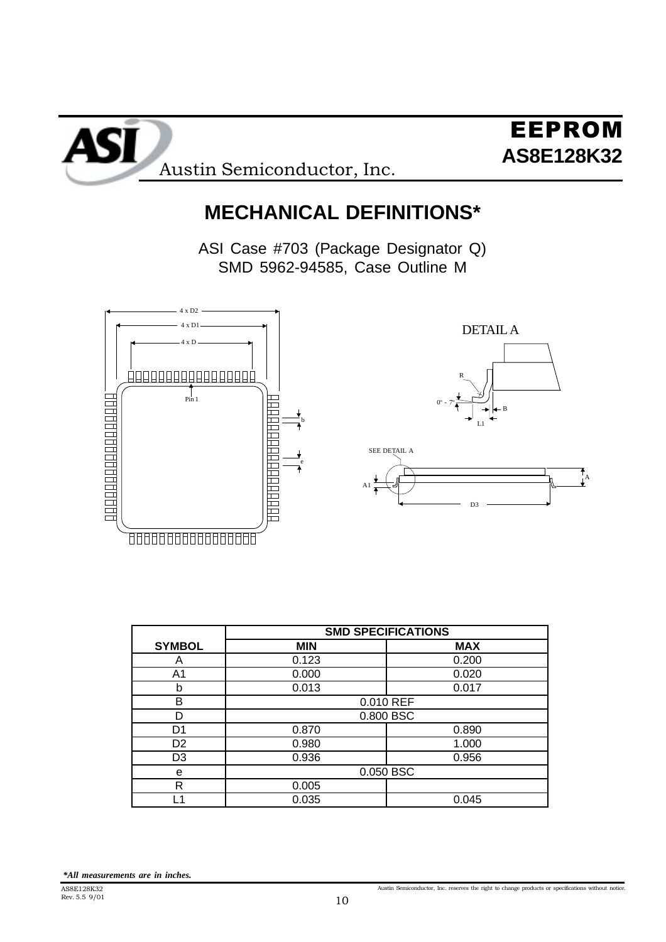![](_page_9_Picture_0.jpeg)

# **MECHANICAL DEFINITIONS\***

ASI Case #703 (Package Designator Q) SMD 5962-94585, Case Outline M

![](_page_9_Figure_4.jpeg)

|                | <b>SMD SPECIFICATIONS</b> |            |  |
|----------------|---------------------------|------------|--|
| <b>SYMBOL</b>  | <b>MIN</b>                | <b>MAX</b> |  |
| Α              | 0.123                     | 0.200      |  |
| A <sub>1</sub> | 0.000                     | 0.020      |  |
| b              | 0.013                     | 0.017      |  |
| B              |                           | 0.010 REF  |  |
| D              |                           | 0.800 BSC  |  |
| D1             | 0.870                     | 0.890      |  |
| D <sub>2</sub> | 0.980                     | 1.000      |  |
| D <sub>3</sub> | 0.936                     | 0.956      |  |
| e              |                           | 0.050 BSC  |  |
| R              | 0.005                     |            |  |
| L1             | 0.035                     | 0.045      |  |
|                |                           |            |  |

*\*All measurements are in inches.*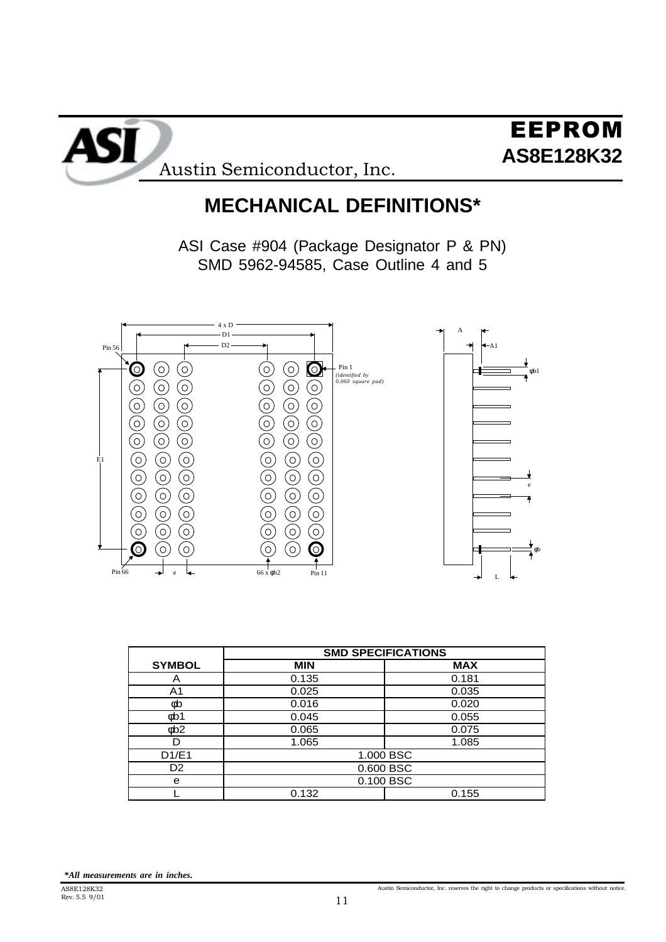![](_page_10_Picture_0.jpeg)

# **MECHANICAL DEFINITIONS\***

ASI Case #904 (Package Designator P & PN) SMD 5962-94585, Case Outline 4 and 5

![](_page_10_Figure_4.jpeg)

|                       | <b>SMD SPECIFICATIONS</b> |            |
|-----------------------|---------------------------|------------|
| <b>SYMBOL</b>         | <b>MIN</b>                | <b>MAX</b> |
| Α                     | 0.135                     | 0.181      |
| A1                    | 0.025                     | 0.035      |
| фb                    | 0.016                     | 0.020      |
| ob1                   | 0.045                     | 0.055      |
| $\phi$ <sub>b</sub> 2 | 0.065                     | 0.075      |
| D                     | 1.065                     | 1.085      |
| D1/E1                 | 1.000 BSC                 |            |
| D <sub>2</sub>        | 0.600 BSC                 |            |
| e                     | 0.100 BSC                 |            |
|                       | 0.132                     | 0.155      |
|                       |                           |            |

*\*All measurements are in inches.*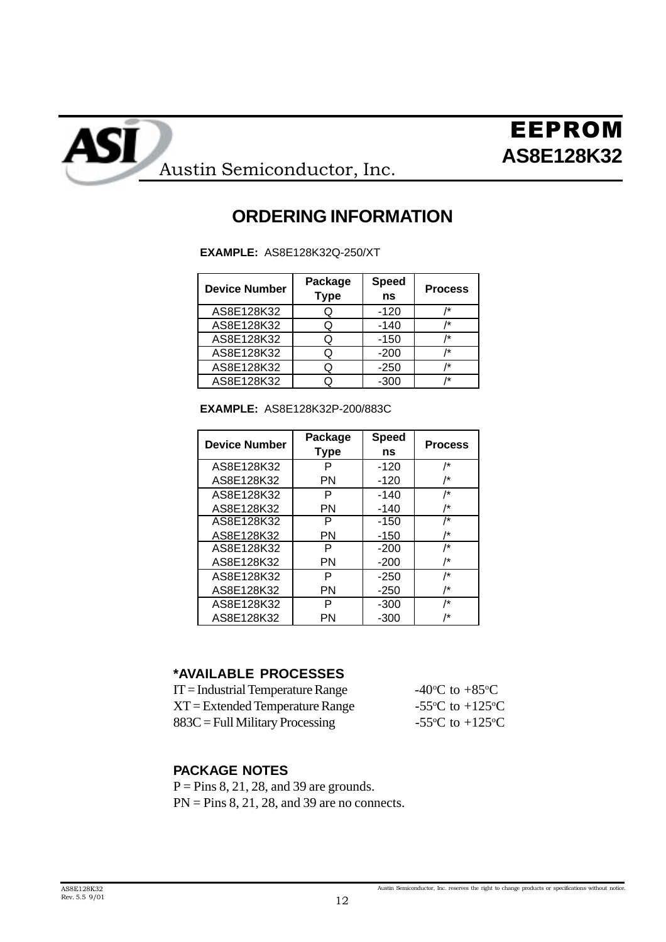![](_page_11_Picture_0.jpeg)

**AS8E128K32** Austin Semiconductor, Inc.

## **ORDERING INFORMATION**

**EXAMPLE:** AS8E128K32Q-250/XT

| <b>Device Number</b> | Package<br><b>Type</b> | <b>Speed</b><br>ns | <b>Process</b> |
|----------------------|------------------------|--------------------|----------------|
| AS8E128K32           |                        | $-120$             | /*             |
| AS8E128K32           | O                      | $-140$             | /*             |
| AS8E128K32           | Q                      | $-150$             | /*             |
| AS8E128K32           |                        | $-200$             | /*             |
| AS8E128K32           |                        | $-250$             | 1*             |
| AS8E128K32           |                        | $-300$             | 1*             |

**EXAMPLE:** AS8E128K32P-200/883C

| <b>Device Number</b> | Package     | <b>Speed</b> | <b>Process</b> |
|----------------------|-------------|--------------|----------------|
|                      | <b>Type</b> | ns           |                |
| AS8E128K32           | Р           | $-120$       | /*             |
| AS8E128K32           | PN          | $-120$       | /*             |
| AS8E128K32           | P           | $-140$       | /*             |
| AS8E128K32           | PN          | $-140$       | /*             |
| AS8E128K32           | P           | $-150$       | /*             |
| AS8E128K32           | PN          | $-150$       | /*             |
| AS8E128K32           | P           | -200         | /*             |
| AS8E128K32           | PN          | $-200$       | /*             |
| AS8E128K32           | P           | $-250$       | /*             |
| AS8E128K32           | PN          | $-250$       | /*             |
| AS8E128K32           | P           | -300         | /*             |
| AS8E128K32           | PN          | -300         | /*             |

## **\*AVAILABLE PROCESSES**

| $IT = Industrial Temperature Range$ | -40 <sup>o</sup> C to +85 <sup>o</sup> C      |
|-------------------------------------|-----------------------------------------------|
| $XT = Extended Temperature Range$   | -55 $\rm{^{\circ}C}$ to +125 $\rm{^{\circ}C}$ |
| $883C =$ Full Military Processing   | -55 $^{\circ}$ C to +125 $^{\circ}$ C         |

## **PACKAGE NOTES**

 $P = Pins 8, 21, 28, and 39 are grounds.$  $PN = Pins 8, 21, 28, and 39 are no connects.$ 

ASI